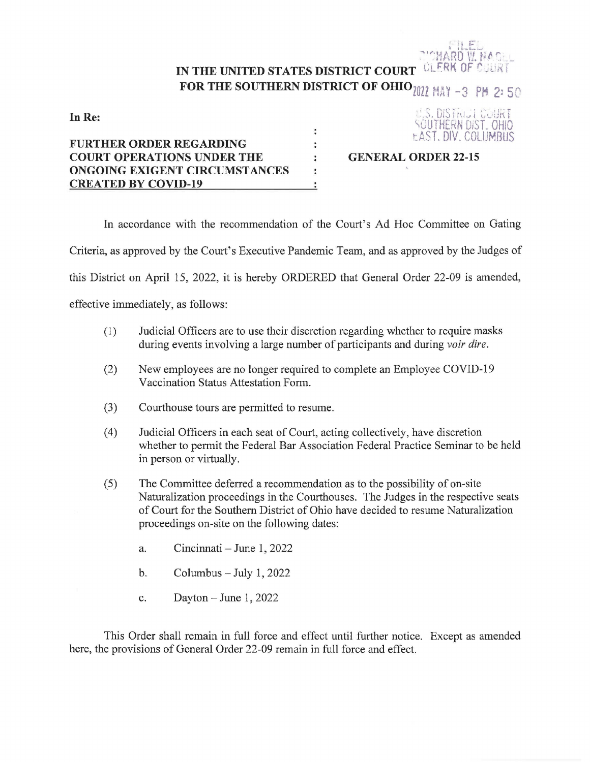## <sup>~</sup><sup>f</sup>**t.~t:;~** """'!J.f, RO ,., lJ *t,* r. <sup>i</sup>**ic** *l* **1, ii 1- t •• l** '- \_ . *<sup>1</sup>*~ ~ ... IN THE UNITED STATES DISTRICT COURT CLERK OF C **FOR THE SOUTHERN DISTRICT OF OHIO** 2022 MAY -3 PM 2: 50

**In Re:** 

## i.S. **DtSTi\1v i** C,~1Uf\ **f**  \OUTHERN DiST. OHIO tAST. DIV. COLUMBUS

## **FURTHER ORDER REGARDING COURT OPERATIONS UNDER THE ONGOING EXIGENT CIRCUMSTANCES CREATED BY COVID-19**

**GENERAL ORDER 22-15** 

In accordance with the recommendation of the Court's Ad Hoc Committee on Gating

 $\ddot{\phantom{a}}$  $\ddot{\phantom{a}}$ ÷  $\ddot{\phantom{a}}$  $\ddot{\cdot}$ 

Criteria, as approved by the Court's Executive Pandemic Team, and as approved by the Judges of

this District on April 15, 2022, it is hereby ORDERED that General Order 22-09 is amended,

effective immediately, as follows:

- (I) Judicial Officers are to use their discretion regarding whether to require masks during events involving a large number of participants and during *voir dire.*
- (2) New employees are no longer required to complete an Employee COVID-19 Vaccination Status Attestation Form.
- (3) Courthouse tours are permitted to resume.
- (4) Judicial Officers in each seat of Court, acting collectively, have discretion whether to permit the Federal Bar Association Federal Practice Seminar to be held in person or virtually.
- (5) The Committee deferred a recommendation as to the possibility of on-site Naturalization proceedings in the Courthouses. The Judges in the respective seats of Court for the Southern District of Ohio have decided to resume Naturalization proceedings on-site on the following dates:
	- a. Cincinnati June 1, 2022
	- b. Columbus  $-$  July 1, 2022
	- c. Dayton June 1, 2022

This Order shall remain in full force and effect until further notice. Except as amended here, the provisions of General Order 22-09 remain in full force and effect.